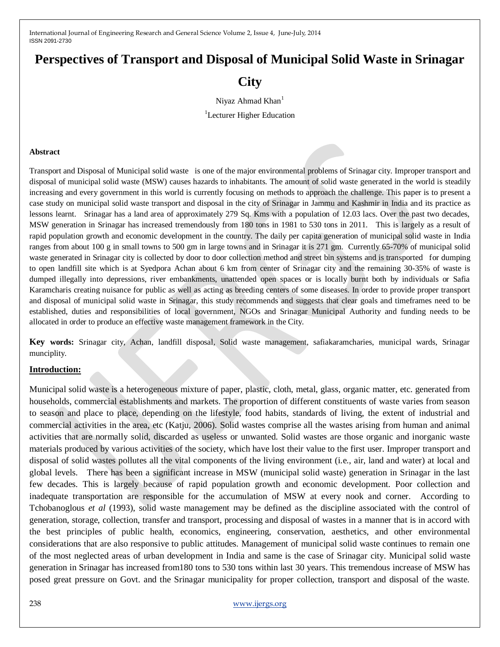# **Perspectives of Transport and Disposal of Municipal Solid Waste in Srinagar**

## **City**

Niyaz Ahmad Khan<sup>1</sup>

<sup>1</sup>Lecturer Higher Education

#### **Abstract**

Transport and Disposal of Municipal solid waste is one of the major environmental problems of Srinagar city. Improper transport and disposal of municipal solid waste (MSW) causes hazards to inhabitants. The amount of solid waste generated in the world is steadily increasing and every government in this world is currently focusing on methods to approach the challenge. This paper is to present a case study on municipal solid waste transport and disposal in the city of Srinagar in Jammu and Kashmir in India and its practice as lessons learnt. Srinagar has a land area of approximately 279 Sq. Kms with a population of 12.03 lacs. Over the past two decades, MSW generation in Srinagar has increased tremendously from 180 tons in 1981 to 530 tons in 2011. This is largely as a result of rapid population growth and economic development in the country. The daily per capita generation of municipal solid waste in India ranges from about 100 g in small towns to 500 gm in large towns and in Srinagar it is 271 gm. Currently 65-70% of municipal solid waste generated in Srinagar city is collected by door to door collection method and street bin systems and is transported for dumping to open landfill site which is at Syedpora Achan about 6 km from center of Srinagar city and the remaining 30-35% of waste is dumped illegally into depressions, river embankments, unattended open spaces or is locally burnt both by individuals or Safia Karamcharis creating nuisance for public as well as acting as breeding centers of some diseases. In order to provide proper transport and disposal of municipal solid waste in Srinagar, this study recommends and suggests that clear goals and timeframes need to be established, duties and responsibilities of local government, NGOs and Srinagar Municipal Authority and funding needs to be allocated in order to produce an effective waste management framework in the City.

**Key words:** Srinagar city, Achan, landfill disposal, Solid waste management, safiakaramcharies, municipal wards, Srinagar munciplity.

#### **Introduction:**

Municipal solid waste is a heterogeneous mixture of paper, plastic, cloth, metal, glass, organic matter, etc. generated from households, commercial establishments and markets. The proportion of different constituents of waste varies from season to season and place to place, depending on the lifestyle, food habits, standards of living, the extent of industrial and commercial activities in the area, etc (Katju, 2006). Solid wastes comprise all the wastes arising from human and animal activities that are normally solid, discarded as useless or unwanted. Solid wastes are those organic and inorganic waste materials produced by various activities of the society, which have lost their value to the first user. Improper transport and disposal of solid wastes pollutes all the vital components of the living environment (i.e., air, land and water) at local and global levels. There has been a significant increase in MSW (municipal solid waste) generation in Srinagar in the last few decades. This is largely because of rapid population growth and economic development. Poor collection and inadequate transportation are responsible for the accumulation of MSW at every nook and corner. According to Tchobanoglous *et al* (1993), solid waste management may be defined as the discipline associated with the control of generation, storage, collection, transfer and transport, processing and disposal of wastes in a manner that is in accord with the best principles of public health, economics, engineering, conservation, aesthetics, and other environmental considerations that are also responsive to public attitudes. Management of municipal solid waste continues to remain one of the most neglected areas of urban development in India and same is the case of Srinagar city. Municipal solid waste generation in Srinagar has increased from180 tons to 530 tons within last 30 years. This tremendous increase of MSW has posed great pressure on Govt. and the Srinagar municipality for proper collection, transport and disposal of the waste.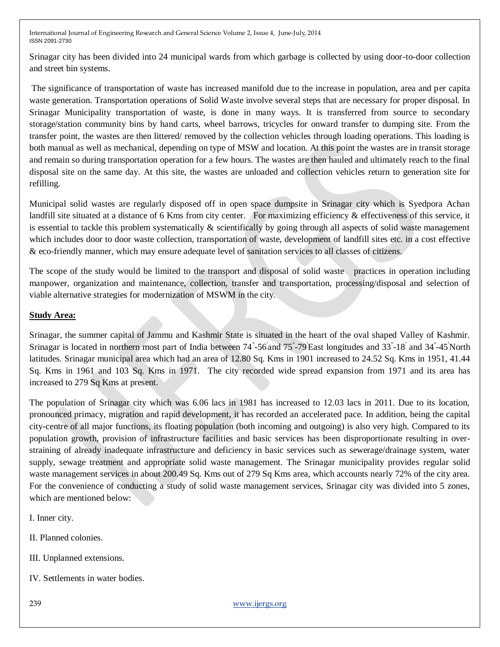Srinagar city has been divided into 24 municipal wards from which garbage is collected by using door-to-door collection and street bin systems.

The significance of transportation of waste has increased manifold due to the increase in population, area and per capita waste generation. Transportation operations of Solid Waste involve several steps that are necessary for proper disposal. In Srinagar Municipality transportation of waste, is done in many ways. It is transferred from source to secondary storage/station community bins by hand carts, wheel barrows, tricycles for onward transfer to dumping site. From the transfer point, the wastes are then littered/ removed by the collection vehicles through loading operations. This loading is both manual as well as mechanical, depending on type of MSW and location. At this point the wastes are in transit storage and remain so during transportation operation for a few hours. The wastes are then hauled and ultimately reach to the final disposal site on the same day. At this site, the wastes are unloaded and collection vehicles return to generation site for refilling.

Municipal solid wastes are regularly disposed off in open space dumpsite in Srinagar city which is Syedpora Achan landfill site situated at a distance of 6 Kms from city center. For maximizing efficiency & effectiveness of this service, it is essential to tackle this problem systematically  $\&$  scientifically by going through all aspects of solid waste management which includes door to door waste collection, transportation of waste, development of landfill sites etc. in a cost effective & eco-friendly manner, which may ensure adequate level of sanitation services to all classes of citizens.

The scope of the study would be limited to the transport and disposal of solid waste practices in operation including manpower, organization and maintenance, collection, transfer and transportation, processing/disposal and selection of viable alternative strategies for modernization of MSWM in the city.

### **Study Area:**

Srinagar, the summer capital of Jammu and Kashmir State is situated in the heart of the oval shaped Valley of Kashmir. Srinagar is located in northern most part of India between 74°-56'and 75°-79'East longitudes and 33°-18' and 34°-45'North latitudes. Srinagar municipal area which had an area of 12.80 Sq. Kms in 1901 increased to 24.52 Sq. Kms in 1951, 41.44 Sq. Kms in 1961 and 103 Sq. Kms in 1971. The city recorded wide spread expansion from 1971 and its area has increased to 279 Sq Kms at present.

The population of Srinagar city which was 6.06 lacs in 1981 has increased to 12.03 lacs in 2011. Due to its location, pronounced primacy, migration and rapid development, it has recorded an accelerated pace. In addition, being the capital city-centre of all major functions, its floating population (both incoming and outgoing) is also very high. Compared to its population growth, provision of infrastructure facilities and basic services has been disproportionate resulting in overstraining of already inadequate infrastructure and deficiency in basic services such as sewerage/drainage system, water supply, sewage treatment and appropriate solid waste management. The Srinagar municipality provides regular solid waste management services in about 200.49 Sq. Kms out of 279 Sq Kms area, which accounts nearly 72% of the city area. For the convenience of conducting a study of solid waste management services, Srinagar city was divided into 5 zones, which are mentioned below:

I. Inner city.

II. Planned colonies.

III. Unplanned extensions.

IV. Settlements in water bodies.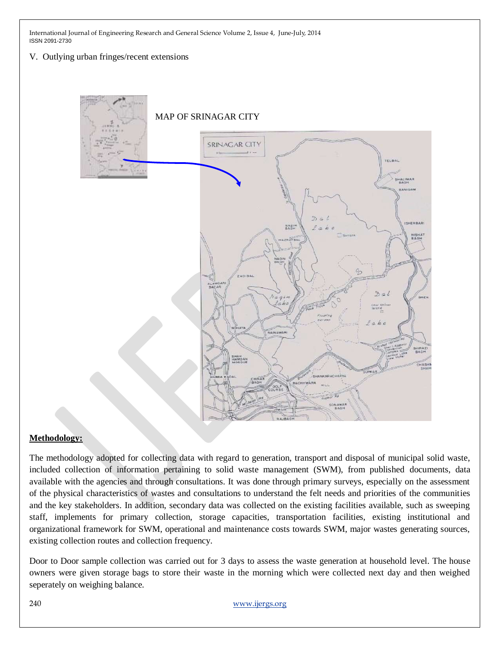V. Outlying urban fringes/recent extensions



## **Methodology:**

The methodology adopted for collecting data with regard to generation, transport and disposal of municipal solid waste, included collection of information pertaining to solid waste management (SWM), from published documents, data available with the agencies and through consultations. It was done through primary surveys, especially on the assessment of the physical characteristics of wastes and consultations to understand the felt needs and priorities of the communities and the key stakeholders. In addition, secondary data was collected on the existing facilities available, such as sweeping staff, implements for primary collection, storage capacities, transportation facilities, existing institutional and organizational framework for SWM, operational and maintenance costs towards SWM, major wastes generating sources, existing collection routes and collection frequency.

Door to Door sample collection was carried out for 3 days to assess the waste generation at household level. The house owners were given storage bags to store their waste in the morning which were collected next day and then weighed seperately on weighing balance.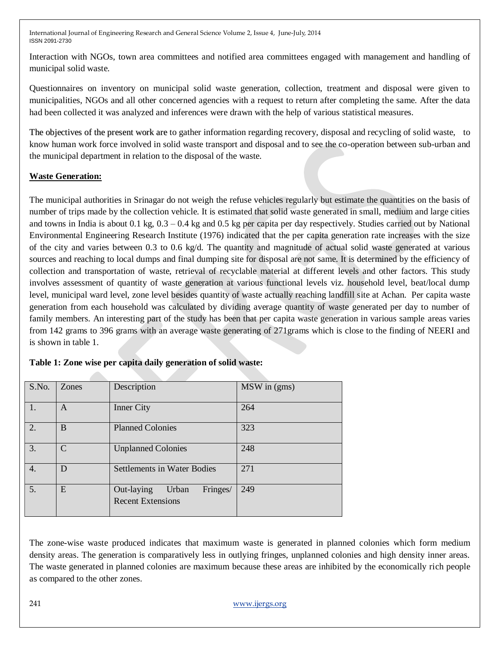Interaction with NGOs, town area committees and notified area committees engaged with management and handling of municipal solid waste.

Questionnaires on inventory on municipal solid waste generation, collection, treatment and disposal were given to municipalities, NGOs and all other concerned agencies with a request to return after completing the same. After the data had been collected it was analyzed and inferences were drawn with the help of various statistical measures.

The objectives of the present work are to gather information regarding recovery, disposal and recycling of solid waste, to know human work force involved in solid waste transport and disposal and to see the co-operation between sub-urban and the municipal department in relation to the disposal of the waste.

## **Waste Generation:**

The municipal authorities in Srinagar do not weigh the refuse vehicles regularly but estimate the quantities on the basis of number of trips made by the collection vehicle. It is estimated that solid waste generated in small, medium and large cities and towns in India is about 0.1 kg,  $0.3 - 0.4$  kg and 0.5 kg per capita per day respectively. Studies carried out by National Environmental Engineering Research Institute (1976) indicated that the per capita generation rate increases with the size of the city and varies between 0.3 to 0.6 kg/d. The quantity and magnitude of actual solid waste generated at various sources and reaching to local dumps and final dumping site for disposal are not same. It is determined by the efficiency of collection and transportation of waste, retrieval of recyclable material at different levels and other factors. This study involves assessment of quantity of waste generation at various functional levels viz. household level, beat/local dump level, municipal ward level, zone level besides quantity of waste actually reaching landfill site at Achan. Per capita waste generation from each household was calculated by dividing average quantity of waste generated per day to number of family members. An interesting part of the study has been that per capita waste generation in various sample areas varies from 142 grams to 396 grams with an average waste generating of 271grams which is close to the finding of NEERI and is shown in table 1.

| S.No. | Zones        | Description                                                 | MSW in (gms) |
|-------|--------------|-------------------------------------------------------------|--------------|
| 1.    | A            | <b>Inner City</b>                                           | 264          |
| 2.    | B            | <b>Planned Colonies</b>                                     | 323          |
| 3.    | $\mathsf{C}$ | <b>Unplanned Colonies</b>                                   | 248          |
| 4.    | D            | <b>Settlements in Water Bodies</b>                          | 271          |
| 5.    | E            | Out-laying<br>Fringes/<br>Urban<br><b>Recent Extensions</b> | 249          |

## **Table 1: Zone wise per capita daily generation of solid waste:**

The zone-wise waste produced indicates that maximum waste is generated in planned colonies which form medium density areas. The generation is comparatively less in outlying fringes, unplanned colonies and high density inner areas. The waste generated in planned colonies are maximum because these areas are inhibited by the economically rich people as compared to the other zones.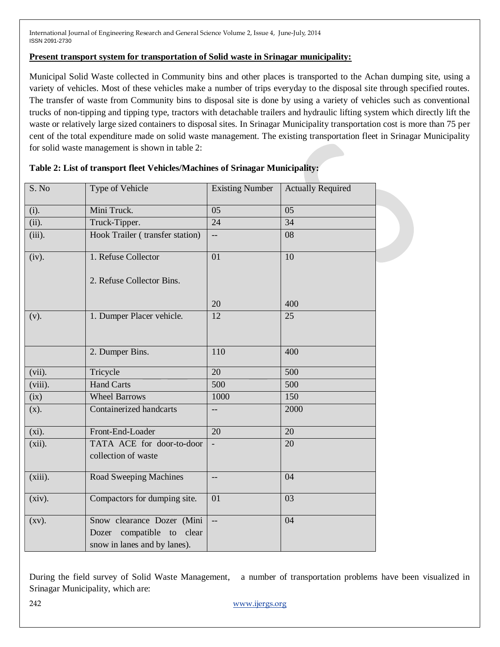#### **Present transport system for transportation of Solid waste in Srinagar municipality:**

Municipal Solid Waste collected in Community bins and other places is transported to the Achan dumping site, using a variety of vehicles. Most of these vehicles make a number of trips everyday to the disposal site through specified routes. The transfer of waste from Community bins to disposal site is done by using a variety of vehicles such as conventional trucks of non-tipping and tipping type, tractors with detachable trailers and hydraulic lifting system which directly lift the waste or relatively large sized containers to disposal sites. In Srinagar Municipality transportation cost is more than 75 per cent of the total expenditure made on solid waste management. The existing transportation fleet in Srinagar Municipality for solid waste management is shown in table 2:

| S. No      | Type of Vehicle                                                                               | <b>Existing Number</b>   | <b>Actually Required</b> |
|------------|-----------------------------------------------------------------------------------------------|--------------------------|--------------------------|
| (i).       | Mini Truck.                                                                                   | 05                       | 05                       |
| (ii).      | Truck-Tipper.                                                                                 | 24                       | 34                       |
| (iii).     | Hook Trailer (transfer station)                                                               | --                       | 08                       |
| (iv).      | 1. Refuse Collector                                                                           | 01                       | 10                       |
|            | 2. Refuse Collector Bins.                                                                     |                          |                          |
|            |                                                                                               | 20                       | 400                      |
| (v).       | 1. Dumper Placer vehicle.                                                                     | 12                       | 25                       |
|            | 2. Dumper Bins.                                                                               | 110                      | 400                      |
| $(vii)$ .  | Tricycle                                                                                      | 20                       | 500                      |
| $(viii)$ . | Hand Carts                                                                                    | 500                      | 500                      |
| (ix)       | <b>Wheel Barrows</b>                                                                          | 1000                     | 150                      |
| (x).       | Containerized handcarts                                                                       | --                       | 2000                     |
| $(xi)$ .   | Front-End-Loader                                                                              | 20                       | 20                       |
| $(xii)$ .  | TATA ACE for door-to-door<br>collection of waste                                              |                          | 20                       |
| $(xiii)$ . | Road Sweeping Machines                                                                        |                          | 04                       |
| $(xiv)$ .  | Compactors for dumping site.                                                                  | 01                       | 03                       |
| $(xv)$ .   | Snow clearance Dozer (Mini<br>Dozer compatible<br>clear<br>to<br>snow in lanes and by lanes). | $\overline{\phantom{a}}$ | 04                       |

#### **Table 2: List of transport fleet Vehicles/Machines of Srinagar Municipality:**

During the field survey of Solid Waste Management, a number of transportation problems have been visualized in Srinagar Municipality, which are: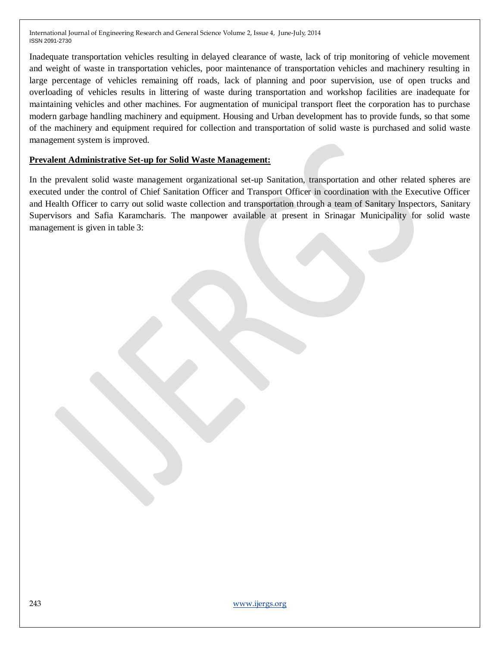Inadequate transportation vehicles resulting in delayed clearance of waste, lack of trip monitoring of vehicle movement and weight of waste in transportation vehicles, poor maintenance of transportation vehicles and machinery resulting in large percentage of vehicles remaining off roads, lack of planning and poor supervision, use of open trucks and overloading of vehicles results in littering of waste during transportation and workshop facilities are inadequate for maintaining vehicles and other machines. For augmentation of municipal transport fleet the corporation has to purchase modern garbage handling machinery and equipment. Housing and Urban development has to provide funds, so that some of the machinery and equipment required for collection and transportation of solid waste is purchased and solid waste management system is improved.

#### **Prevalent Administrative Set-up for Solid Waste Management:**

In the prevalent solid waste management organizational set-up Sanitation, transportation and other related spheres are executed under the control of Chief Sanitation Officer and Transport Officer in coordination with the Executive Officer and Health Officer to carry out solid waste collection and transportation through a team of Sanitary Inspectors, Sanitary Supervisors and Safia Karamcharis. The manpower available at present in Srinagar Municipality for solid waste management is given in table 3: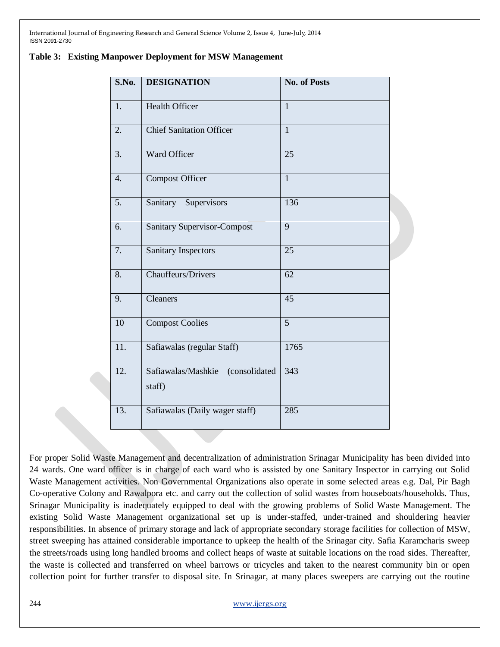| S.No. | <b>DESIGNATION</b>                         | <b>No. of Posts</b> |
|-------|--------------------------------------------|---------------------|
| 1.    | <b>Health Officer</b>                      | $\mathbf{1}$        |
| 2.    | <b>Chief Sanitation Officer</b>            | $\overline{1}$      |
| 3.    | Ward Officer                               | 25                  |
| 4.    | <b>Compost Officer</b>                     | $\overline{1}$      |
| 5.    | Sanitary Supervisors                       | 136                 |
| 6.    | <b>Sanitary Supervisor-Compost</b>         | 9                   |
| 7.    | <b>Sanitary Inspectors</b>                 | 25                  |
| 8.    | <b>Chauffeurs/Drivers</b>                  | 62                  |
| 9.    | Cleaners                                   | 45                  |
| 10    | <b>Compost Coolies</b>                     | $\overline{5}$      |
| 11.   | Safiawalas (regular Staff)                 | 1765                |
| 12.   | Safiawalas/Mashkie (consolidated<br>staff) | 343                 |
| 13.   | Safiawalas (Daily wager staff)             | 285                 |

|  |  |  |  |  | Table 3: Existing Manpower Deployment for MSW Management |
|--|--|--|--|--|----------------------------------------------------------|
|--|--|--|--|--|----------------------------------------------------------|

For proper Solid Waste Management and decentralization of administration Srinagar Municipality has been divided into 24 wards. One ward officer is in charge of each ward who is assisted by one Sanitary Inspector in carrying out Solid Waste Management activities. Non Governmental Organizations also operate in some selected areas e.g. Dal, Pir Bagh Co-operative Colony and Rawalpora etc. and carry out the collection of solid wastes from houseboats/households. Thus, Srinagar Municipality is inadequately equipped to deal with the growing problems of Solid Waste Management. The existing Solid Waste Management organizational set up is under-staffed, under-trained and shouldering heavier responsibilities. In absence of primary storage and lack of appropriate secondary storage facilities for collection of MSW, street sweeping has attained considerable importance to upkeep the health of the Srinagar city. Safia Karamcharis sweep the streets/roads using long handled brooms and collect heaps of waste at suitable locations on the road sides. Thereafter, the waste is collected and transferred on wheel barrows or tricycles and taken to the nearest community bin or open collection point for further transfer to disposal site. In Srinagar, at many places sweepers are carrying out the routine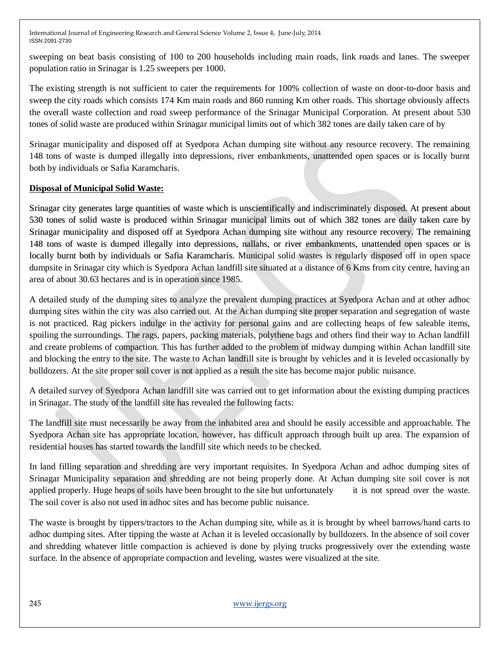sweeping on beat basis consisting of 100 to 200 households including main roads, link roads and lanes. The sweeper population ratio in Srinagar is 1.25 sweepers per 1000.

The existing strength is not sufficient to cater the requirements for 100% collection of waste on door-to-door basis and sweep the city roads which consists 174 Km main roads and 860 running Km other roads. This shortage obviously affects the overall waste collection and road sweep performance of the Srinagar Municipal Corporation. At present about 530 tones of solid waste are produced within Srinagar municipal limits out of which 382 tones are daily taken care of by

Srinagar municipality and disposed off at Syedpora Achan dumping site without any resource recovery. The remaining 148 tons of waste is dumped illegally into depressions, river embankments, unattended open spaces or is locally burnt both by individuals or Safia Karamcharis.

## **Disposal of Municipal Solid Waste:**

Srinagar city generates large quantities of waste which is unscientifically and indiscriminately disposed. At present about 530 tones of solid waste is produced within Srinagar municipal limits out of which 382 tones are daily taken care by Srinagar municipality and disposed off at Syedpora Achan dumping site without any resource recovery. The remaining 148 tons of waste is dumped illegally into depressions, nallahs, or river embankments, unattended open spaces or is locally burnt both by individuals or Safia Karamcharis. Municipal solid wastes is regularly disposed off in open space dumpsite in Srinagar city which is Syedpora Achan landfill site situated at a distance of 6 Kms from city centre, having an area of about 30.63 hectares and is in operation since 1985.

A detailed study of the dumping sites to analyze the prevalent dumping practices at Syedpora Achan and at other adhoc dumping sites within the city was also carried out. At the Achan dumping site proper separation and segregation of waste is not practiced. Rag pickers indulge in the activity for personal gains and are collecting heaps of few saleable items, spoiling the surroundings. The rags, papers, packing materials, polythene bags and others find their way to Achan landfill and create problems of compaction. This has further added to the problem of midway dumping within Achan landfill site and blocking the entry to the site. The waste to Achan landfill site is brought by vehicles and it is leveled occasionally by bulldozers. At the site proper soil cover is not applied as a result the site has become major public nuisance.

A detailed survey of Syedpora Achan landfill site was carried out to get information about the existing dumping practices in Srinagar. The study of the landfill site has revealed the following facts:

The landfill site must necessarily be away from the inhabited area and should be easily accessible and approachable. The Syedpora Achan site has appropriate location, however, has difficult approach through built up area. The expansion of residential houses has started towards the landfill site which needs to be checked.

In land filling separation and shredding are very important requisites. In Syedpora Achan and adhoc dumping sites of Srinagar Municipality separation and shredding are not being properly done. At Achan dumping site soil cover is not applied properly. Huge heaps of soils have been brought to the site but unfortunately it is not spread over the waste. The soil cover is also not used in adhoc sites and has become public nuisance.

The waste is brought by tippers/tractors to the Achan dumping site, while as it is brought by wheel barrows/hand carts to adhoc dumping sites. After tipping the waste at Achan it is leveled occasionally by bulldozers. In the absence of soil cover and shredding whatever little compaction is achieved is done by plying trucks progressively over the extending waste surface. In the absence of appropriate compaction and leveling, wastes were visualized at the site.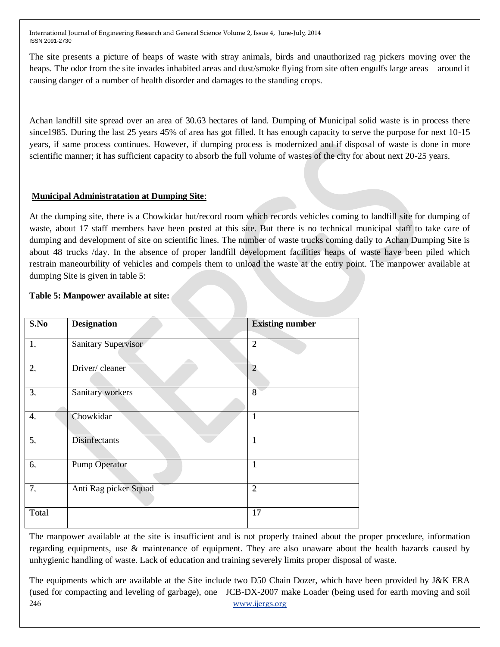The site presents a picture of heaps of waste with stray animals, birds and unauthorized rag pickers moving over the heaps. The odor from the site invades inhabited areas and dust/smoke flying from site often engulfs large areas around it causing danger of a number of health disorder and damages to the standing crops.

Achan landfill site spread over an area of 30.63 hectares of land. Dumping of Municipal solid waste is in process there since1985. During the last 25 years 45% of area has got filled. It has enough capacity to serve the purpose for next 10-15 years, if same process continues. However, if dumping process is modernized and if disposal of waste is done in more scientific manner; it has sufficient capacity to absorb the full volume of wastes of the city for about next 20-25 years.

## **Municipal Administratation at Dumping Site**:

At the dumping site, there is a Chowkidar hut/record room which records vehicles coming to landfill site for dumping of waste, about 17 staff members have been posted at this site. But there is no technical municipal staff to take care of dumping and development of site on scientific lines. The number of waste trucks coming daily to Achan Dumping Site is about 48 trucks /day. In the absence of proper landfill development facilities heaps of waste have been piled which restrain maneourbility of vehicles and compels them to unload the waste at the entry point. The manpower available at dumping Site is given in table 5:

## **Table 5: Manpower available at site:**

| S.No  | <b>Designation</b>    | <b>Existing number</b> |
|-------|-----------------------|------------------------|
| 1.    | Sanitary Supervisor   | $\overline{2}$         |
| 2.    | Driver/cleaner        | $\overline{2}$         |
| 3.    | Sanitary workers      | 8                      |
| 4.    | Chowkidar             | $\mathbf{1}$           |
| 5.    | <b>Disinfectants</b>  | 1                      |
| 6.    | <b>Pump Operator</b>  | 1                      |
| 7.    | Anti Rag picker Squad | $\overline{2}$         |
| Total |                       | 17                     |

The manpower available at the site is insufficient and is not properly trained about the proper procedure, information regarding equipments, use & maintenance of equipment. They are also unaware about the health hazards caused by unhygienic handling of waste. Lack of education and training severely limits proper disposal of waste.

246 [www.ijergs.org](http://www.ijergs.org/) The equipments which are available at the Site include two D50 Chain Dozer, which have been provided by J&K ERA (used for compacting and leveling of garbage), one JCB-DX-2007 make Loader (being used for earth moving and soil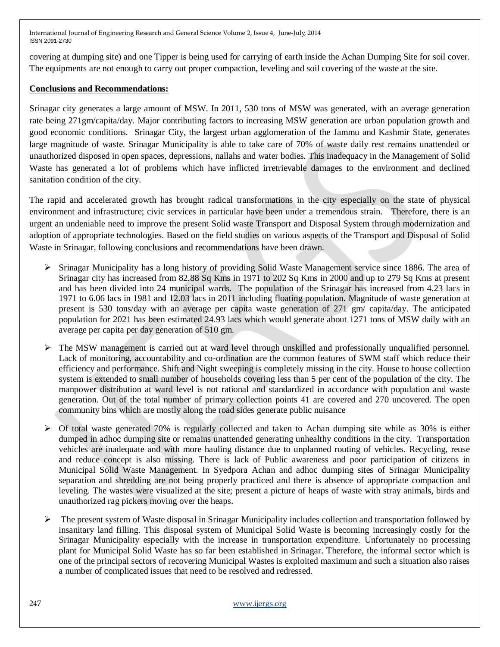covering at dumping site) and one Tipper is being used for carrying of earth inside the Achan Dumping Site for soil cover. The equipments are not enough to carry out proper compaction, leveling and soil covering of the waste at the site.

## **Conclusions and Recommendations:**

Srinagar city generates a large amount of MSW. In 2011, 530 tons of MSW was generated, with an average generation rate being 271gm/capita/day. Major contributing factors to increasing MSW generation are urban population growth and good economic conditions. Srinagar City, the largest urban agglomeration of the Jammu and Kashmir State, generates large magnitude of waste. Srinagar Municipality is able to take care of 70% of waste daily rest remains unattended or unauthorized disposed in open spaces, depressions, nallahs and water bodies. This inadequacy in the Management of Solid Waste has generated a lot of problems which have inflicted irretrievable damages to the environment and declined sanitation condition of the city.

The rapid and accelerated growth has brought radical transformations in the city especially on the state of physical environment and infrastructure; civic services in particular have been under a tremendous strain. Therefore, there is an urgent an undeniable need to improve the present Solid waste Transport and Disposal System through modernization and adoption of appropriate technologies. Based on the field studies on various aspects of the Transport and Disposal of Solid Waste in Srinagar, following conclusions and recommendations have been drawn.

- $\triangleright$  Srinagar Municipality has a long history of providing Solid Waste Management service since 1886. The area of Srinagar city has increased from 82.88 Sq Kms in 1971 to 202 Sq Kms in 2000 and up to 279 Sq Kms at present and has been divided into 24 municipal wards. The population of the Srinagar has increased from 4.23 lacs in 1971 to 6.06 lacs in 1981 and 12.03 lacs in 2011 including floating population. Magnitude of waste generation at present is 530 tons/day with an average per capita waste generation of 271 gm/ capita/day. The anticipated population for 2021 has been estimated 24.93 lacs which would generate about 1271 tons of MSW daily with an average per capita per day generation of 510 gm.
- $\triangleright$  The MSW management is carried out at ward level through unskilled and professionally unqualified personnel. Lack of monitoring, accountability and co-ordination are the common features of SWM staff which reduce their efficiency and performance. Shift and Night sweeping is completely missing in the city. House to house collection system is extended to small number of households covering less than 5 per cent of the population of the city. The manpower distribution at ward level is not rational and standardized in accordance with population and waste generation. Out of the total number of primary collection points 41 are covered and 270 uncovered. The open community bins which are mostly along the road sides generate public nuisance
- $\triangleright$  Of total waste generated 70% is regularly collected and taken to Achan dumping site while as 30% is either dumped in adhoc dumping site or remains unattended generating unhealthy conditions in the city. Transportation vehicles are inadequate and with more hauling distance due to unplanned routing of vehicles. Recycling, reuse and reduce concept is also missing. There is lack of Public awareness and poor participation of citizens in Municipal Solid Waste Management. In Syedpora Achan and adhoc dumping sites of Srinagar Municipality separation and shredding are not being properly practiced and there is absence of appropriate compaction and leveling. The wastes were visualized at the site; present a picture of heaps of waste with stray animals, birds and unauthorized rag pickers moving over the heaps.
- $\triangleright$  The present system of Waste disposal in Srinagar Municipality includes collection and transportation followed by insanitary land filling. This disposal system of Municipal Solid Waste is becoming increasingly costly for the Srinagar Municipality especially with the increase in transportation expenditure. Unfortunately no processing plant for Municipal Solid Waste has so far been established in Srinagar. Therefore, the informal sector which is one of the principal sectors of recovering Municipal Wastes is exploited maximum and such a situation also raises a number of complicated issues that need to be resolved and redressed.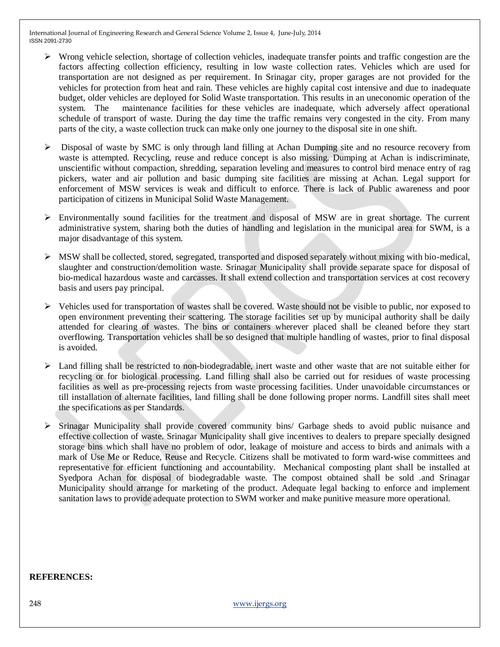- $\triangleright$  Wrong vehicle selection, shortage of collection vehicles, inadequate transfer points and traffic congestion are the factors affecting collection efficiency, resulting in low waste collection rates. Vehicles which are used for transportation are not designed as per requirement. In Srinagar city, proper garages are not provided for the vehicles for protection from heat and rain. These vehicles are highly capital cost intensive and due to inadequate budget, older vehicles are deployed for Solid Waste transportation. This results in an uneconomic operation of the system. The maintenance facilities for these vehicles are inadequate, which adversely affect operational schedule of transport of waste. During the day time the traffic remains very congested in the city. From many parts of the city, a waste collection truck can make only one journey to the disposal site in one shift.
- $\triangleright$  Disposal of waste by SMC is only through land filling at Achan Dumping site and no resource recovery from waste is attempted. Recycling, reuse and reduce concept is also missing. Dumping at Achan is indiscriminate, unscientific without compaction, shredding, separation leveling and measures to control bird menace entry of rag pickers, water and air pollution and basic dumping site facilities are missing at Achan. Legal support for enforcement of MSW services is weak and difficult to enforce. There is lack of Public awareness and poor participation of citizens in Municipal Solid Waste Management.
- $\triangleright$  Environmentally sound facilities for the treatment and disposal of MSW are in great shortage. The current administrative system, sharing both the duties of handling and legislation in the municipal area for SWM, is a major disadvantage of this system.
- $\triangleright$  MSW shall be collected, stored, segregated, transported and disposed separately without mixing with bio-medical, slaughter and construction/demolition waste. Srinagar Municipality shall provide separate space for disposal of bio-medical hazardous waste and carcasses. It shall extend collection and transportation services at cost recovery basis and users pay principal.
- $\triangleright$  Vehicles used for transportation of wastes shall be covered. Waste should not be visible to public, nor exposed to open environment preventing their scattering. The storage facilities set up by municipal authority shall be daily attended for clearing of wastes. The bins or containers wherever placed shall be cleaned before they start overflowing. Transportation vehicles shall be so designed that multiple handling of wastes, prior to final disposal is avoided.
- $\triangleright$  Land filling shall be restricted to non-biodegradable, inert waste and other waste that are not suitable either for recycling or for biological processing. Land filling shall also be carried out for residues of waste processing facilities as well as pre-processing rejects from waste processing facilities. Under unavoidable circumstances or till installation of alternate facilities, land filling shall be done following proper norms. Landfill sites shall meet the specifications as per Standards.
- $\triangleright$  Srinagar Municipality shall provide covered community bins/ Garbage sheds to avoid public nuisance and effective collection of waste. Srinagar Municipality shall give incentives to dealers to prepare specially designed storage bins which shall have no problem of odor, leakage of moisture and access to birds and animals with a mark of Use Me or Reduce, Reuse and Recycle. Citizens shall be motivated to form ward-wise committees and representative for efficient functioning and accountability. Mechanical composting plant shall be installed at Syedpora Achan for disposal of biodegradable waste. The compost obtained shall be sold .and Srinagar Municipality should arrange for marketing of the product. Adequate legal backing to enforce and implement sanitation laws to provide adequate protection to SWM worker and make punitive measure more operational.

#### **REFERENCES:**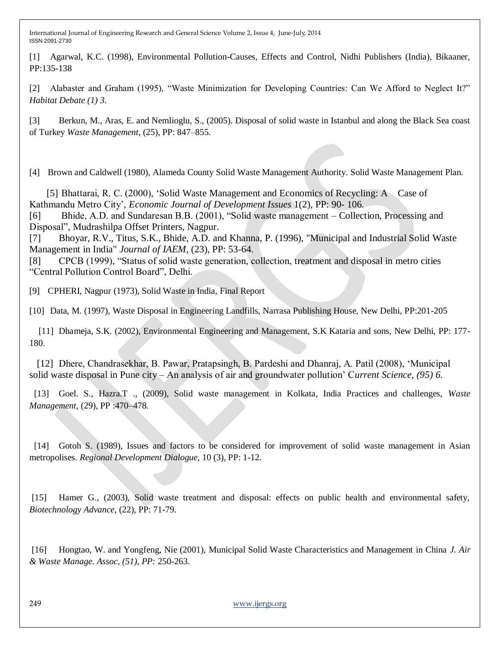[1] Agarwal, K.C. (1998), Environmental Pollution-Causes, Effects and Control, Nidhi Publishers (India), Bikaaner, PP:135-138

[2] Alabaster and Graham (1995), "Waste Minimization for Developing Countries: Can We Afford to Neglect It?" *Habitat Debate (1) 3.*

[3] Berkun, M., Aras, E. and Nemlioglu, S., (2005). Disposal of solid waste in Istanbul and along the Black Sea coast of Turkey *Waste Management*, (25), PP: 847–855.

[4] Brown and Caldwell (1980), Alameda County Solid Waste Management Authority. Solid Waste Management Plan.

 [5] Bhattarai, R. C. (2000), "Solid Waste Management and Economics of Recycling: A Case of Kathmandu Metro City", *Economic Journal of Development Issues* 1(2), PP: 90- 106.

[6] Bhide, A.D. and Sundaresan B.B. (2001), "Solid waste management – Collection, Processing and Disposal", Mudrashilpa Offset Printers, Nagpur.

[7] Bhoyar, R.V., Titus, S.K., Bhide, A.D. and Khanna, P. (1996), "Municipal and Industrial Solid Waste Management in India" *Journal of IAEM*, (23), PP: 53-64.

[8] CPCB (1999), "Status of solid waste generation, collection, treatment and disposal in metro cities "Central Pollution Control Board", Delhi.

[9] CPHERI, Nagpur (1973), Solid Waste in India, Final Report

[10] Data, M. (1997), Waste Disposal in Engineering Landfills, Narrasa Publishing House, New Delhi, PP:201-205

 [11] Dhameja, S.K. (2002), Environmental Engineering and Management, S.K Kataria and sons, New Delhi, PP: 177- 180.

[12] Dhere, Chandrasekhar, B. Pawar, Pratapsingh, B. Pardeshi and Dhanraj, A. Patil (2008), 'Municipal solid waste disposal in Pune city – An analysis of air and groundwater pollution" C*urrent Science, (95) 6.* 

 [13] Goel. S., Hazra.T ., (2009), Solid waste management in Kolkata, India Practices and challenges, *Waste Management*, (29), PP :470–478.

 [14] Gotoh S. (1989), Issues and factors to be considered for improvement of solid waste management in Asian metropolises. *Regional Development Dialogue*, 10 (3), PP: 1-12.

[15] Hamer G., (2003), Solid waste treatment and disposal: effects on public health and environmental safety, *Biotechnology Advance*, (22), PP: 71-79.

[16] Hongtao, W. and Yongfeng, Nie (2001), Municipal Solid Waste Characteristics and Management in China *J. Air & Waste Manage. Assoc, (51), PP:* 250-263.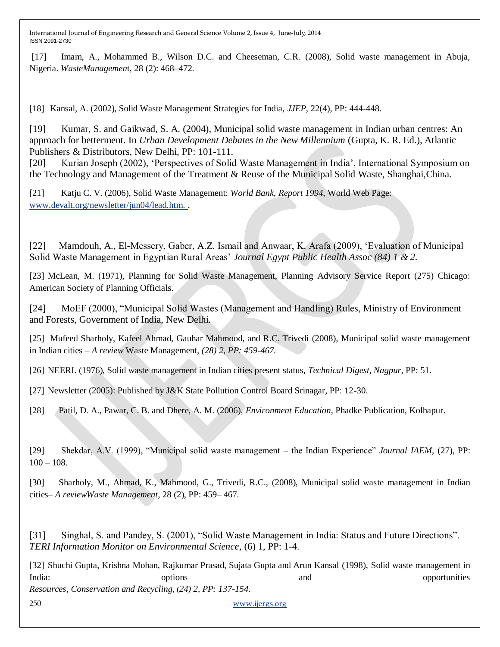[17] Imam, A., Mohammed B., Wilson D.C. and Cheeseman, C.R. (2008), Solid waste management in Abuja, Nigeria. *WasteManagemen*t, 28 (2): 468–472.

[18] Kansal, A. (2002), Solid Waste Management Strategies for India, *JJEP*, 22(4), PP: 444-448.

[19] Kumar, S. and Gaikwad, S. A. (2004), Municipal solid waste management in Indian urban centres: An approach for betterment. In *Urban Development Debates in the New Millennium* (Gupta, K. R. Ed.), Atlantic Publishers & Distributors, New Delhi, PP: 101-111.

[20] Kurian Joseph (2002), "Perspectives of Solid Waste Management in India", International Symposium on the Technology and Management of the Treatment & Reuse of the Municipal Solid Waste, Shanghai,China.

[21] Katju C. V. (2006), Solid Waste Management: *World Bank, Report 1994*, World Web Page: [www.devalt.org/newsletter/jun04/lead.htm. .](http://www.devalt.org/newsletter/jun04/lead.htm.)

[22] Mamdouh, A., El-Messery, Gaber, A.Z. Ismail and Anwaar, K. Arafa (2009), "Evaluation of Municipal Solid Waste Management in Egyptian Rural Areas" *Journal Egypt Public Health Assoc (84) 1 & 2.*

[23] McLean, M. (1971), Planning for Solid Waste Management, Planning Advisory Service Report (275) Chicago: American Society of Planning Officials.

[24] MoEF (2000), "Municipal Solid Wastes (Management and Handling) Rules, Ministry of Environment and Forests, Government of India, New Delhi.

[25] Mufeed Sharholy, Kafeel Ahmad, Gauhar Mahmood, and R.C. Trivedi (2008), Municipal solid waste management in Indian cities – *A review* Waste Management*, (28) 2, PP: 459-467.*

[26] NEERI. (1976), Solid waste management in Indian cities present status, *Technical Digest, Nagpur*, PP: 51.

[27] Newsletter (2005): Published by J&K State Pollution Control Board Srinagar, PP: 12-30.

[28] Patil, D. A., Pawar, C. B. and Dhere, A. M. (2006), *Environment Education*, Phadke Publication, Kolhapur.

[29] Shekdar, A.V. (1999), "Municipal solid waste management – the Indian Experience" *Journal IAEM*, (27), PP:  $100 - 108.$ 

[30] Sharholy, M., Ahmad, K., Mahmood, G., Trivedi, R.C., (2008), Municipal solid waste management in Indian cities– *A reviewWaste Management,* 28 (2), PP: 459– 467.

[31] Singhal, S. and Pandey, S. (2001), "Solid Waste Management in India: Status and Future Directions". *TERI Information Monitor on Environmental Science*, (6) 1, PP: 1-4.

[32] Shuchi Gupta, Krishna Mohan, Rajkumar Prasad, Sujata Gupta and Arun Kansal (1998), Solid waste management in India: example options options and and opportunities opportunities *Resources, Conservation and Recycling,* (*24) 2, PP: 137-154.*